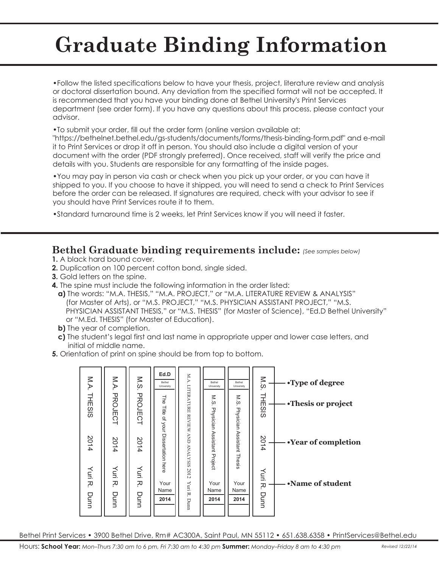# **Graduate Binding Information**

•Follow the listed specifications below to have your thesis, project, literature review and analysis or doctoral dissertation bound. Any deviation from the specified format will not be accepted. It is recommended that you have your binding done at Bethel University's Print Services department (see order form). If you have any questions about this process, please contact your advisor.

•To submit your order, fill out the order form (online version available at:

"https://bethelnet.bethel.edu/gs-students/documents/forms/thesis-binding-form.pdf" and e-mail it to Print Services or drop it off in person. You should also include a digital version of your document with the order (PDF strongly preferred). Once received, staff will verify the price and details with you. Students are responsible for any formatting of the inside pages.

•You may pay in person via cash or check when you pick up your order, or you can have it shipped to you. If you choose to have it shipped, you will need to send a check to Print Services before the order can be released. If signatures are required, check with your advisor to see if you should have Print Services route it to them.

•Standard turnaround time is 2 weeks, let Print Services know if you will need it faster.

### **Bethel Graduate binding requirements include:** *(See samples below)*

- **1.** A black hard bound cover.
- **2.** Duplication on 100 percent cotton bond, single sided.
- **3.** Gold letters on the spine.
- **4.** The spine must include the following information in the order listed:
	- **a)** The words: "M.A. THESIS," "M.A. PROJECT," or "M.A. LITERATURE REVIEW & ANALYSIS" (for Master of Arts), or "M.S. PROJECT," "M.S. PHYSICIAN ASSISTANT PROJECT," "M.S. PHYSICIAN ASSISTANT THESIS," or "M.S. THESIS" (for Master of Science), "Ed.D Bethel University" or "M.Ed. THESIS" (for Master of Education).
	- **b)** The year of completion.
	- **c)** The student's legal first and last name in appropriate upper and lower case letters, and initial of middle name.
- **5.** Orientation of print on spine should be from top to bottom.



Bethel Print Services • 3900 Bethel Drive, Rm# AC300A, Saint Paul, MN 55112 • 651.638.6358 • PrintServices@Bethel.edu